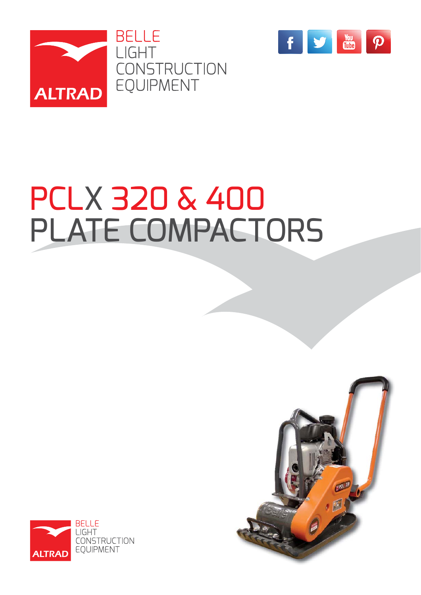



# PCLX 320 & 400 PLATE COMPACTORS